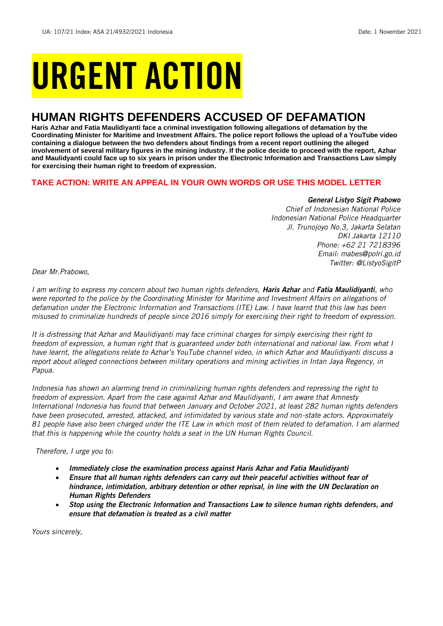# URGENT ACTION

## **HUMAN RIGHTS DEFENDERS ACCUSED OF DEFAMATION**

**Haris Azhar and Fatia Maulidiyanti face a criminal investigation following allegations of defamation by the Coordinating Minister for Maritime and Investment Affairs. The police report follows the upload of a YouTube video containing a dialogue between the two defenders about findings from a recent report outlining the alleged involvement of several military figures in the mining industry. If the police decide to proceed with the report, Azhar and Maulidyanti could face up to six years in prison under the Electronic Information and Transactions Law simply for exercising their human right to freedom of expression.**

#### **TAKE ACTION: WRITE AN APPEAL IN YOUR OWN WORDS OR USE THIS MODEL LETTER**

#### *General Listyo Sigit Prabowo*

*Chief of Indonesian National Police Indonesian National Police Headquarter Jl. Trunojoyo No.3, Jakarta Selatan DKI Jakarta 12110 Phone: +62 21 7218396 Email: mabes@polri.go.id Twitter: @ListyoSigitP*

*Dear Mr.Prabowo,*

*I am writing to express my concern about two human rights defenders, Haris Azhar and Fatia Maulidiyanti, who*  were reported to the police by the Coordinating Minister for Maritime and Investment Affairs on allegations of *defamation under the Electronic Information and Transactions (ITE) Law. I have learnt that this law has been misused to criminalize hundreds of people since 2016 simply for exercising their right to freedom of expression.*

*It is distressing that Azhar and Maulidiyanti may face criminal charges for simply exercising their right to freedom of expression, a human right that is guaranteed under both international and national law. From what I have learnt, the allegations relate to Azhar's YouTube channel video, in which Azhar and Maulidiyanti discuss a report about alleged connections between military operations and mining activities in Intan Jaya Regency, in Papua.* 

*Indonesia has shown an alarming trend in criminalizing human rights defenders and repressing the right to freedom of expression. Apart from the case against Azhar and Maulidiyanti, I am aware that Amnesty International Indonesia has found that between January and October 2021, at least 282 human rights defenders have been prosecuted, arrested, attacked, and intimidated by various state and non-state actors. Approximately 81 people have also been charged under the ITE Law in which most of them related to defamation. I am alarmed that this is happening while the country holds a seat in the UN Human Rights Council.* 

*Therefore, I urge you to:*

- *Immediately close the examination process against Haris Azhar and Fatia Maulidiyanti*
- *Ensure that all human rights defenders can carry out their peaceful activities without fear of hindrance, intimidation, arbitrary detention or other reprisal, in line with the UN Declaration on Human Rights Defenders*
- *Stop using the Electronic Information and Transactions Law to silence human rights defenders, and ensure that defamation is treated as a civil matter*

*Yours sincerely,*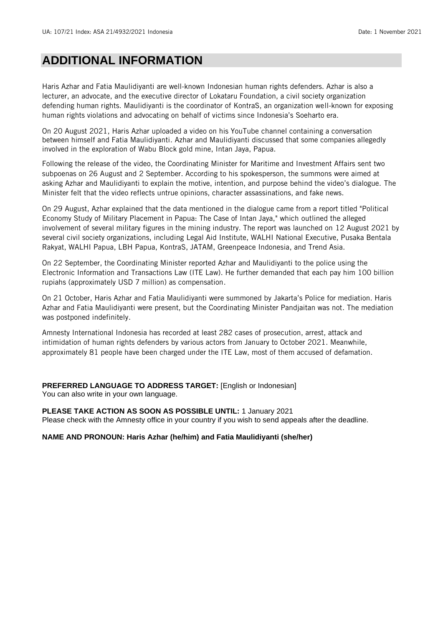### **ADDITIONAL INFORMATION**

Haris Azhar and Fatia Maulidiyanti are well-known Indonesian human rights defenders. Azhar is also a lecturer, an advocate, and the executive director of Lokataru Foundation, a civil society organization defending human rights. Maulidiyanti is the coordinator of KontraS, an organization well-known for exposing human rights violations and advocating on behalf of victims since Indonesia's Soeharto era.

On 20 August 2021, Haris Azhar uploaded a video on his YouTube channel containing a conversation between himself and Fatia Maulidiyanti. Azhar and Maulidiyanti discussed that some companies allegedly involved in the exploration of Wabu Block gold mine, Intan Jaya, Papua.

Following the release of the video, the Coordinating Minister for Maritime and Investment Affairs sent two subpoenas on 26 August and 2 September. According to his spokesperson, the summons were aimed at asking Azhar and Maulidiyanti to explain the motive, intention, and purpose behind the video's dialogue. The Minister felt that the video reflects untrue opinions, character assassinations, and fake news.

On 29 August, Azhar explained that the data mentioned in the dialogue came from a report titled "Political Economy Study of Military Placement in Papua: The Case of Intan Jaya," which outlined the alleged involvement of several military figures in the mining industry. The report was launched on 12 August 2021 by several civil society organizations, including Legal Aid Institute, WALHI National Executive, Pusaka Bentala Rakyat, WALHI Papua, LBH Papua, KontraS, JATAM, Greenpeace Indonesia, and Trend Asia.

On 22 September, the Coordinating Minister reported Azhar and Maulidiyanti to the police using the Electronic Information and Transactions Law (ITE Law). He further demanded that each pay him 100 billion rupiahs (approximately USD 7 million) as compensation.

On 21 October, Haris Azhar and Fatia Maulidiyanti were summoned by Jakarta's Police for mediation. Haris Azhar and Fatia Maulidiyanti were present, but the Coordinating Minister Pandjaitan was not. The mediation was postponed indefinitely.

Amnesty International Indonesia has recorded at least 282 cases of prosecution, arrest, attack and intimidation of human rights defenders by various actors from January to October 2021. Meanwhile, approximately 81 people have been charged under the ITE Law, most of them accused of defamation.

**PREFERRED LANGUAGE TO ADDRESS TARGET:** [English or Indonesian] You can also write in your own language.

**PLEASE TAKE ACTION AS SOON AS POSSIBLE UNTIL:** 1 January 2021

Please check with the Amnesty office in your country if you wish to send appeals after the deadline.

#### **NAME AND PRONOUN: Haris Azhar (he/him) and Fatia Maulidiyanti (she/her)**